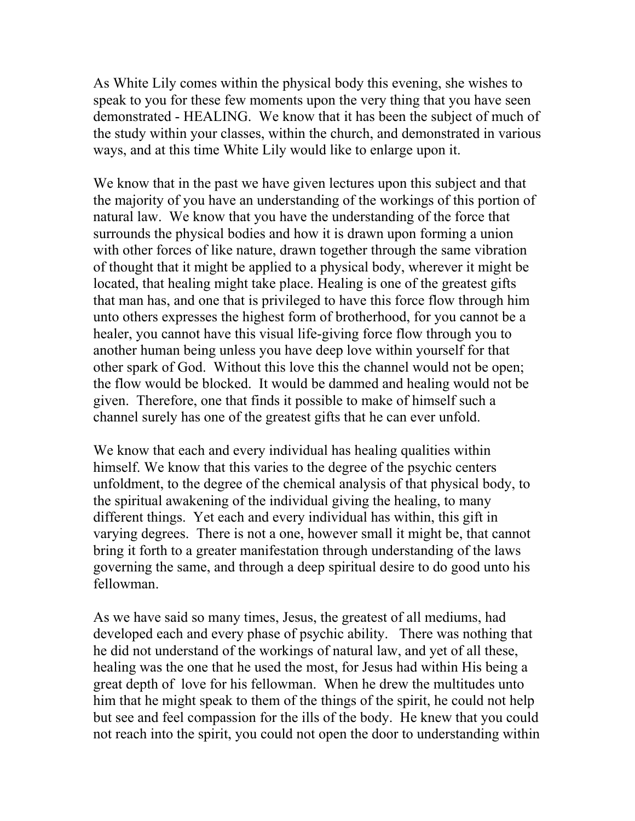As White Lily comes within the physical body this evening, she wishes to speak to you for these few moments upon the very thing that you have seen demonstrated - HEALING. We know that it has been the subject of much of the study within your classes, within the church, and demonstrated in various ways, and at this time White Lily would like to enlarge upon it.

We know that in the past we have given lectures upon this subject and that the majority of you have an understanding of the workings of this portion of natural law. We know that you have the understanding of the force that surrounds the physical bodies and how it is drawn upon forming a union with other forces of like nature, drawn together through the same vibration of thought that it might be applied to a physical body, wherever it might be located, that healing might take place. Healing is one of the greatest gifts that man has, and one that is privileged to have this force flow through him unto others expresses the highest form of brotherhood, for you cannot be a healer, you cannot have this visual life-giving force flow through you to another human being unless you have deep love within yourself for that other spark of God. Without this love this the channel would not be open; the flow would be blocked. It would be dammed and healing would not be given. Therefore, one that finds it possible to make of himself such a channel surely has one of the greatest gifts that he can ever unfold.

We know that each and every individual has healing qualities within himself. We know that this varies to the degree of the psychic centers unfoldment, to the degree of the chemical analysis of that physical body, to the spiritual awakening of the individual giving the healing, to many different things. Yet each and every individual has within, this gift in varying degrees. There is not a one, however small it might be, that cannot bring it forth to a greater manifestation through understanding of the laws governing the same, and through a deep spiritual desire to do good unto his fellowman.

As we have said so many times, Jesus, the greatest of all mediums, had developed each and every phase of psychic ability. There was nothing that he did not understand of the workings of natural law, and yet of all these, healing was the one that he used the most, for Jesus had within His being a great depth of love for his fellowman. When he drew the multitudes unto him that he might speak to them of the things of the spirit, he could not help but see and feel compassion for the ills of the body. He knew that you could not reach into the spirit, you could not open the door to understanding within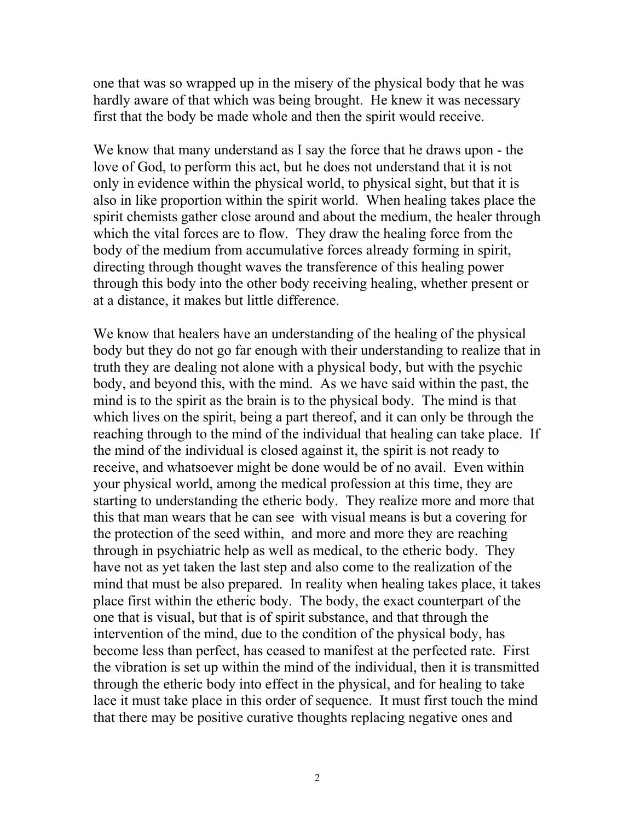one that was so wrapped up in the misery of the physical body that he was hardly aware of that which was being brought. He knew it was necessary first that the body be made whole and then the spirit would receive.

We know that many understand as I say the force that he draws upon - the love of God, to perform this act, but he does not understand that it is not only in evidence within the physical world, to physical sight, but that it is also in like proportion within the spirit world. When healing takes place the spirit chemists gather close around and about the medium, the healer through which the vital forces are to flow. They draw the healing force from the body of the medium from accumulative forces already forming in spirit, directing through thought waves the transference of this healing power through this body into the other body receiving healing, whether present or at a distance, it makes but little difference.

We know that healers have an understanding of the healing of the physical body but they do not go far enough with their understanding to realize that in truth they are dealing not alone with a physical body, but with the psychic body, and beyond this, with the mind. As we have said within the past, the mind is to the spirit as the brain is to the physical body. The mind is that which lives on the spirit, being a part thereof, and it can only be through the reaching through to the mind of the individual that healing can take place. If the mind of the individual is closed against it, the spirit is not ready to receive, and whatsoever might be done would be of no avail. Even within your physical world, among the medical profession at this time, they are starting to understanding the etheric body. They realize more and more that this that man wears that he can see with visual means is but a covering for the protection of the seed within, and more and more they are reaching through in psychiatric help as well as medical, to the etheric body. They have not as yet taken the last step and also come to the realization of the mind that must be also prepared. In reality when healing takes place, it takes place first within the etheric body. The body, the exact counterpart of the one that is visual, but that is of spirit substance, and that through the intervention of the mind, due to the condition of the physical body, has become less than perfect, has ceased to manifest at the perfected rate. First the vibration is set up within the mind of the individual, then it is transmitted through the etheric body into effect in the physical, and for healing to take lace it must take place in this order of sequence. It must first touch the mind that there may be positive curative thoughts replacing negative ones and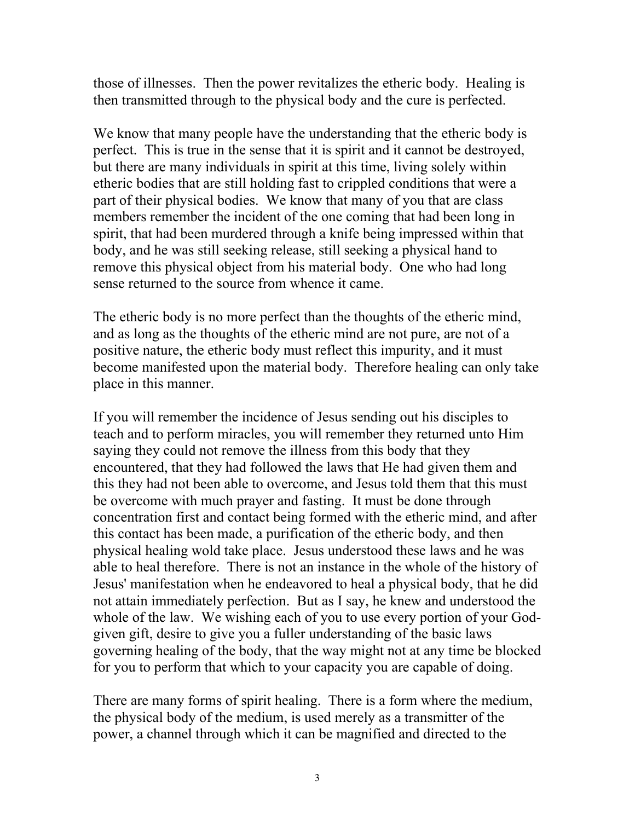those of illnesses. Then the power revitalizes the etheric body. Healing is then transmitted through to the physical body and the cure is perfected.

We know that many people have the understanding that the etheric body is perfect. This is true in the sense that it is spirit and it cannot be destroyed, but there are many individuals in spirit at this time, living solely within etheric bodies that are still holding fast to crippled conditions that were a part of their physical bodies. We know that many of you that are class members remember the incident of the one coming that had been long in spirit, that had been murdered through a knife being impressed within that body, and he was still seeking release, still seeking a physical hand to remove this physical object from his material body. One who had long sense returned to the source from whence it came.

The etheric body is no more perfect than the thoughts of the etheric mind, and as long as the thoughts of the etheric mind are not pure, are not of a positive nature, the etheric body must reflect this impurity, and it must become manifested upon the material body. Therefore healing can only take place in this manner.

If you will remember the incidence of Jesus sending out his disciples to teach and to perform miracles, you will remember they returned unto Him saying they could not remove the illness from this body that they encountered, that they had followed the laws that He had given them and this they had not been able to overcome, and Jesus told them that this must be overcome with much prayer and fasting. It must be done through concentration first and contact being formed with the etheric mind, and after this contact has been made, a purification of the etheric body, and then physical healing wold take place. Jesus understood these laws and he was able to heal therefore. There is not an instance in the whole of the history of Jesus' manifestation when he endeavored to heal a physical body, that he did not attain immediately perfection. But as I say, he knew and understood the whole of the law. We wishing each of you to use every portion of your Godgiven gift, desire to give you a fuller understanding of the basic laws governing healing of the body, that the way might not at any time be blocked for you to perform that which to your capacity you are capable of doing.

There are many forms of spirit healing. There is a form where the medium, the physical body of the medium, is used merely as a transmitter of the power, a channel through which it can be magnified and directed to the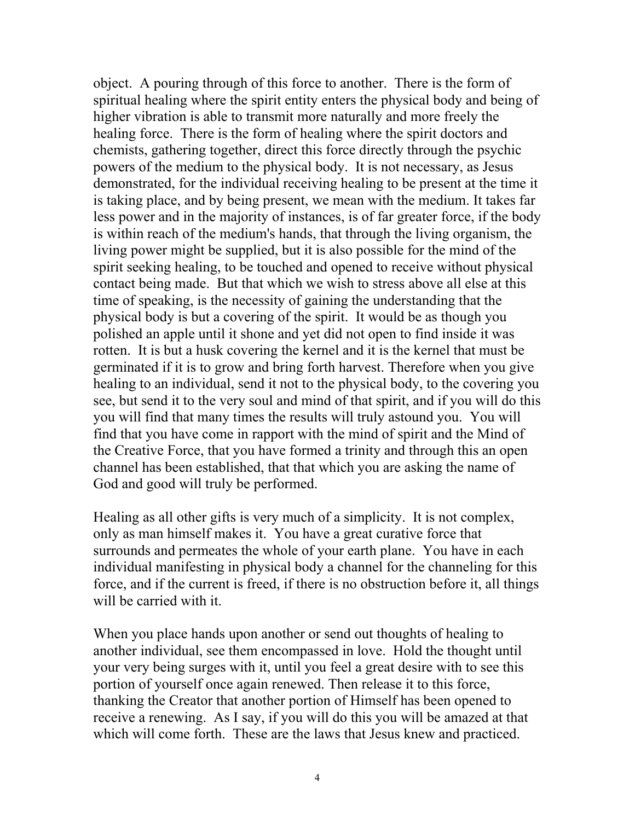object. A pouring through of this force to another. There is the form of spiritual healing where the spirit entity enters the physical body and being of higher vibration is able to transmit more naturally and more freely the healing force. There is the form of healing where the spirit doctors and chemists, gathering together, direct this force directly through the psychic powers of the medium to the physical body. It is not necessary, as Jesus demonstrated, for the individual receiving healing to be present at the time it is taking place, and by being present, we mean with the medium. It takes far less power and in the majority of instances, is of far greater force, if the body is within reach of the medium's hands, that through the living organism, the living power might be supplied, but it is also possible for the mind of the spirit seeking healing, to be touched and opened to receive without physical contact being made. But that which we wish to stress above all else at this time of speaking, is the necessity of gaining the understanding that the physical body is but a covering of the spirit. It would be as though you polished an apple until it shone and yet did not open to find inside it was rotten. It is but a husk covering the kernel and it is the kernel that must be germinated if it is to grow and bring forth harvest. Therefore when you give healing to an individual, send it not to the physical body, to the covering you see, but send it to the very soul and mind of that spirit, and if you will do this you will find that many times the results will truly astound you. You will find that you have come in rapport with the mind of spirit and the Mind of the Creative Force, that you have formed a trinity and through this an open channel has been established, that that which you are asking the name of God and good will truly be performed.

Healing as all other gifts is very much of a simplicity. It is not complex, only as man himself makes it. You have a great curative force that surrounds and permeates the whole of your earth plane. You have in each individual manifesting in physical body a channel for the channeling for this force, and if the current is freed, if there is no obstruction before it, all things will be carried with it.

When you place hands upon another or send out thoughts of healing to another individual, see them encompassed in love. Hold the thought until your very being surges with it, until you feel a great desire with to see this portion of yourself once again renewed. Then release it to this force, thanking the Creator that another portion of Himself has been opened to receive a renewing. As I say, if you will do this you will be amazed at that which will come forth. These are the laws that Jesus knew and practiced.